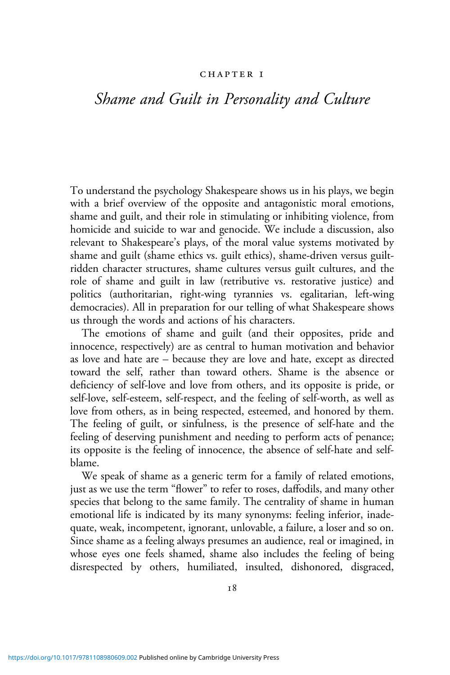#### CHAPTER I

# *Shame and Guilt in Personality and Culture*

To understand the psychology Shakespeare shows us in his plays, we begin with a brief overview of the opposite and antagonistic moral emotions, shame and guilt, and their role in stimulating or inhibiting violence, from homicide and suicide to war and genocide. We include a discussion, also relevant to Shakespeare's plays, of the moral value systems motivated by shame and guilt (shame ethics vs. guilt ethics), shame-driven versus guiltridden character structures, shame cultures versus guilt cultures, and the role of shame and guilt in law (retributive vs. restorative justice) and politics (authoritarian, right-wing tyrannies vs. egalitarian, left-wing democracies). All in preparation for our telling of what Shakespeare shows us through the words and actions of his characters.

The emotions of shame and guilt (and their opposites, pride and innocence, respectively) are as central to human motivation and behavior as love and hate are – because they are love and hate, except as directed toward the self, rather than toward others. Shame is the absence or deficiency of self-love and love from others, and its opposite is pride, or self-love, self-esteem, self-respect, and the feeling of self-worth, as well as love from others, as in being respected, esteemed, and honored by them. The feeling of guilt, or sinfulness, is the presence of self-hate and the feeling of deserving punishment and needing to perform acts of penance; its opposite is the feeling of innocence, the absence of self-hate and selfblame.

We speak of shame as a generic term for a family of related emotions, just as we use the term "flower" to refer to roses, daffodils, and many other species that belong to the same family. The centrality of shame in human emotional life is indicated by its many synonyms: feeling inferior, inadequate, weak, incompetent, ignorant, unlovable, a failure, a loser and so on. Since shame as a feeling always presumes an audience, real or imagined, in whose eyes one feels shamed, shame also includes the feeling of being disrespected by others, humiliated, insulted, dishonored, disgraced,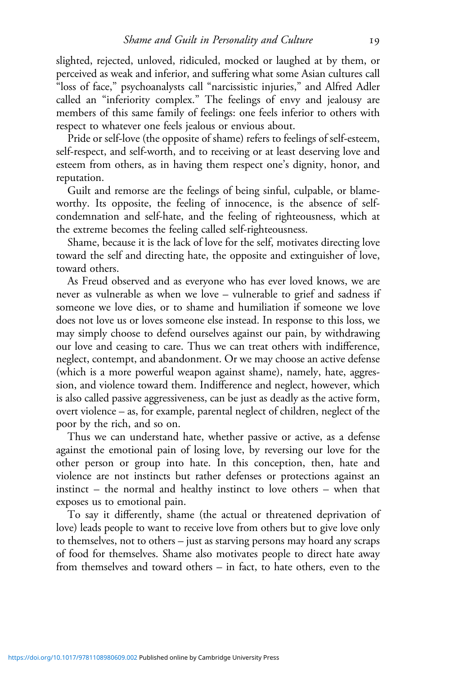slighted, rejected, unloved, ridiculed, mocked or laughed at by them, or perceived as weak and inferior, and suffering what some Asian cultures call "loss of face," psychoanalysts call "narcissistic injuries," and Alfred Adler called an "inferiority complex." The feelings of envy and jealousy are members of this same family of feelings: one feels inferior to others with respect to whatever one feels jealous or envious about.

Pride or self-love (the opposite of shame) refers to feelings of self-esteem, self-respect, and self-worth, and to receiving or at least deserving love and esteem from others, as in having them respect one's dignity, honor, and reputation.

Guilt and remorse are the feelings of being sinful, culpable, or blameworthy. Its opposite, the feeling of innocence, is the absence of selfcondemnation and self-hate, and the feeling of righteousness, which at the extreme becomes the feeling called self-righteousness.

Shame, because it is the lack of love for the self, motivates directing love toward the self and directing hate, the opposite and extinguisher of love, toward others.

As Freud observed and as everyone who has ever loved knows, we are never as vulnerable as when we love – vulnerable to grief and sadness if someone we love dies, or to shame and humiliation if someone we love does not love us or loves someone else instead. In response to this loss, we may simply choose to defend ourselves against our pain, by withdrawing our love and ceasing to care. Thus we can treat others with indifference, neglect, contempt, and abandonment. Or we may choose an active defense (which is a more powerful weapon against shame), namely, hate, aggression, and violence toward them. Indifference and neglect, however, which is also called passive aggressiveness, can be just as deadly as the active form, overt violence – as, for example, parental neglect of children, neglect of the poor by the rich, and so on.

Thus we can understand hate, whether passive or active, as a defense against the emotional pain of losing love, by reversing our love for the other person or group into hate. In this conception, then, hate and violence are not instincts but rather defenses or protections against an instinct – the normal and healthy instinct to love others – when that exposes us to emotional pain.

To say it differently, shame (the actual or threatened deprivation of love) leads people to want to receive love from others but to give love only to themselves, not to others – just as starving persons may hoard any scraps of food for themselves. Shame also motivates people to direct hate away from themselves and toward others – in fact, to hate others, even to the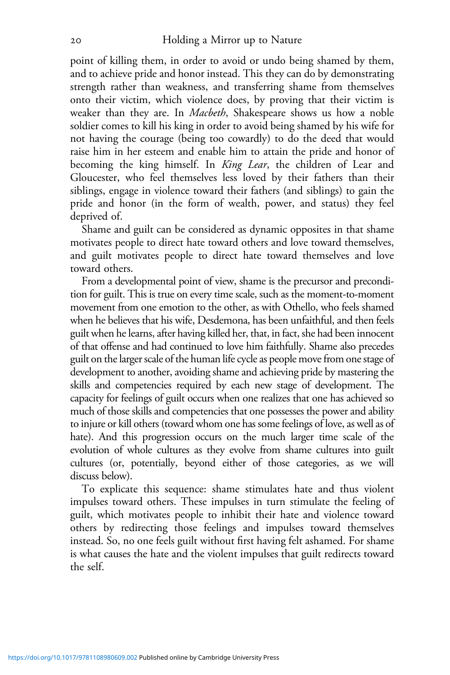point of killing them, in order to avoid or undo being shamed by them, and to achieve pride and honor instead. This they can do by demonstrating strength rather than weakness, and transferring shame from themselves onto their victim, which violence does, by proving that their victim is weaker than they are. In *Macbeth*, Shakespeare shows us how a noble soldier comes to kill his king in order to avoid being shamed by his wife for not having the courage (being too cowardly) to do the deed that would raise him in her esteem and enable him to attain the pride and honor of becoming the king himself. In *King Lear*, the children of Lear and Gloucester, who feel themselves less loved by their fathers than their siblings, engage in violence toward their fathers (and siblings) to gain the pride and honor (in the form of wealth, power, and status) they feel deprived of.

Shame and guilt can be considered as dynamic opposites in that shame motivates people to direct hate toward others and love toward themselves, and guilt motivates people to direct hate toward themselves and love toward others.

From a developmental point of view, shame is the precursor and precondition for guilt. This is true on every time scale, such as the moment-to-moment movement from one emotion to the other, as with Othello, who feels shamed when he believes that his wife, Desdemona, has been unfaithful, and then feels guilt when he learns, after having killed her, that, in fact, she had been innocent of that offense and had continued to love him faithfully. Shame also precedes guilt on the larger scale of the human life cycle as people move from one stage of development to another, avoiding shame and achieving pride by mastering the skills and competencies required by each new stage of development. The capacity for feelings of guilt occurs when one realizes that one has achieved so much of those skills and competencies that one possesses the power and ability to injure or kill others (toward whom one has some feelings of love, as well as of hate). And this progression occurs on the much larger time scale of the evolution of whole cultures as they evolve from shame cultures into guilt cultures (or, potentially, beyond either of those categories, as we will discuss below).

To explicate this sequence: shame stimulates hate and thus violent impulses toward others. These impulses in turn stimulate the feeling of guilt, which motivates people to inhibit their hate and violence toward others by redirecting those feelings and impulses toward themselves instead. So, no one feels guilt without first having felt ashamed. For shame is what causes the hate and the violent impulses that guilt redirects toward the self.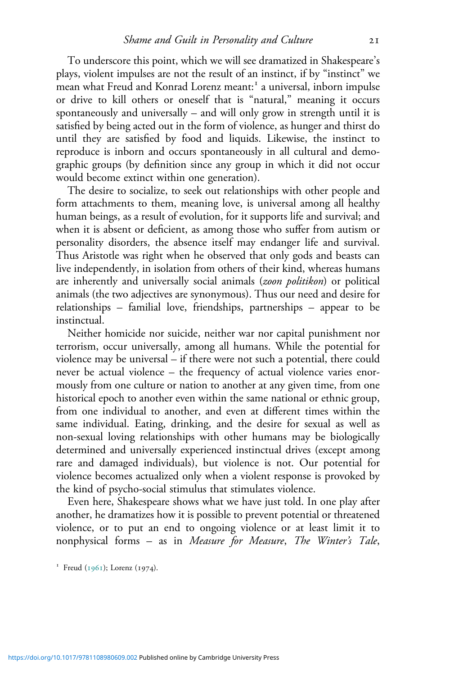To underscore this point, which we will see dramatized in Shakespeare's plays, violent impulses are not the result of an instinct, if by "instinct" we mean what Freud and Konrad Lorenz meant: a universal, inborn impulse or drive to kill others or oneself that is "natural," meaning it occurs spontaneously and universally – and will only grow in strength until it is satisfied by being acted out in the form of violence, as hunger and thirst do until they are satisfied by food and liquids. Likewise, the instinct to reproduce is inborn and occurs spontaneously in all cultural and demographic groups (by definition since any group in which it did not occur would become extinct within one generation).

The desire to socialize, to seek out relationships with other people and form attachments to them, meaning love, is universal among all healthy human beings, as a result of evolution, for it supports life and survival; and when it is absent or deficient, as among those who suffer from autism or personality disorders, the absence itself may endanger life and survival. Thus Aristotle was right when he observed that only gods and beasts can live independently, in isolation from others of their kind, whereas humans are inherently and universally social animals (*zoon politikon*) or political animals (the two adjectives are synonymous). Thus our need and desire for relationships – familial love, friendships, partnerships – appear to be instinctual.

Neither homicide nor suicide, neither war nor capital punishment nor terrorism, occur universally, among all humans. While the potential for violence may be universal – if there were not such a potential, there could never be actual violence – the frequency of actual violence varies enormously from one culture or nation to another at any given time, from one historical epoch to another even within the same national or ethnic group, from one individual to another, and even at different times within the same individual. Eating, drinking, and the desire for sexual as well as non-sexual loving relationships with other humans may be biologically determined and universally experienced instinctual drives (except among rare and damaged individuals), but violence is not. Our potential for violence becomes actualized only when a violent response is provoked by the kind of psycho-social stimulus that stimulates violence.

Even here, Shakespeare shows what we have just told. In one play after another, he dramatizes how it is possible to prevent potential or threatened violence, or to put an end to ongoing violence or at least limit it to nonphysical forms – as in *Measure for Measure*, *The Winter's Tale*,

<sup>&</sup>lt;sup>1</sup> Freud ( $1961$ ); Lorenz ( $1974$ ).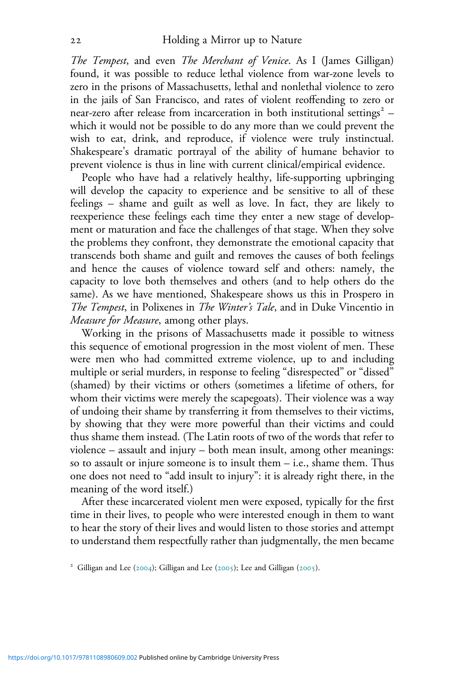*The Tempest*, and even *The Merchant of Venice*. As I (James Gilligan) found, it was possible to reduce lethal violence from war-zone levels to zero in the prisons of Massachusetts, lethal and nonlethal violence to zero in the jails of San Francisco, and rates of violent reoffending to zero or near-zero after release from incarceration in both institutional settings<sup>2</sup> – which it would not be possible to do any more than we could prevent the wish to eat, drink, and reproduce, if violence were truly instinctual. Shakespeare's dramatic portrayal of the ability of humane behavior to prevent violence is thus in line with current clinical/empirical evidence.

People who have had a relatively healthy, life-supporting upbringing will develop the capacity to experience and be sensitive to all of these feelings – shame and guilt as well as love. In fact, they are likely to reexperience these feelings each time they enter a new stage of development or maturation and face the challenges of that stage. When they solve the problems they confront, they demonstrate the emotional capacity that transcends both shame and guilt and removes the causes of both feelings and hence the causes of violence toward self and others: namely, the capacity to love both themselves and others (and to help others do the same). As we have mentioned, Shakespeare shows us this in Prospero in *The Tempest*, in Polixenes in *The Winter's Tale*, and in Duke Vincentio in *Measure for Measure*, among other plays.

Working in the prisons of Massachusetts made it possible to witness this sequence of emotional progression in the most violent of men. These were men who had committed extreme violence, up to and including multiple or serial murders, in response to feeling "disrespected" or "dissed" (shamed) by their victims or others (sometimes a lifetime of others, for whom their victims were merely the scapegoats). Their violence was a way of undoing their shame by transferring it from themselves to their victims, by showing that they were more powerful than their victims and could thus shame them instead. (The Latin roots of two of the words that refer to violence – assault and injury – both mean insult, among other meanings: so to assault or injure someone is to insult them – i.e., shame them. Thus one does not need to "add insult to injury": it is already right there, in the meaning of the word itself.)

After these incarcerated violent men were exposed, typically for the first time in their lives, to people who were interested enough in them to want to hear the story of their lives and would listen to those stories and attempt to understand them respectfully rather than judgmentally, the men became

<sup>&</sup>lt;sup>2</sup> Gilligan and Lee (2004); Gilligan and Lee (2005); Lee and Gilligan (2005).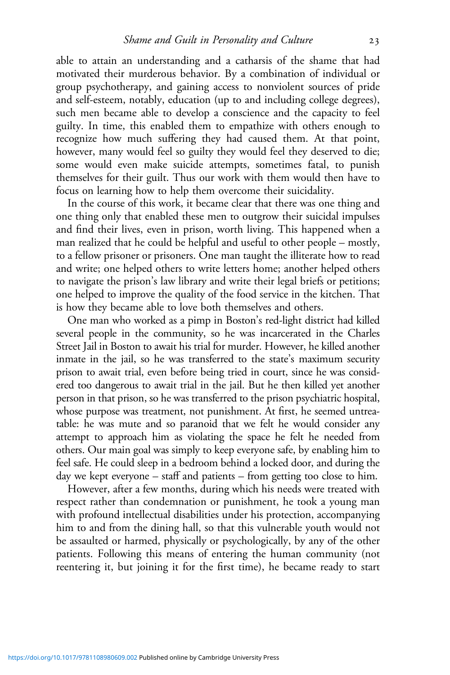able to attain an understanding and a catharsis of the shame that had motivated their murderous behavior. By a combination of individual or group psychotherapy, and gaining access to nonviolent sources of pride and self-esteem, notably, education (up to and including college degrees), such men became able to develop a conscience and the capacity to feel guilty. In time, this enabled them to empathize with others enough to recognize how much suffering they had caused them. At that point, however, many would feel so guilty they would feel they deserved to die; some would even make suicide attempts, sometimes fatal, to punish themselves for their guilt. Thus our work with them would then have to focus on learning how to help them overcome their suicidality.

In the course of this work, it became clear that there was one thing and one thing only that enabled these men to outgrow their suicidal impulses and find their lives, even in prison, worth living. This happened when a man realized that he could be helpful and useful to other people – mostly, to a fellow prisoner or prisoners. One man taught the illiterate how to read and write; one helped others to write letters home; another helped others to navigate the prison's law library and write their legal briefs or petitions; one helped to improve the quality of the food service in the kitchen. That is how they became able to love both themselves and others.

One man who worked as a pimp in Boston's red-light district had killed several people in the community, so he was incarcerated in the Charles Street Jail in Boston to await his trial for murder. However, he killed another inmate in the jail, so he was transferred to the state's maximum security prison to await trial, even before being tried in court, since he was considered too dangerous to await trial in the jail. But he then killed yet another person in that prison, so he was transferred to the prison psychiatric hospital, whose purpose was treatment, not punishment. At first, he seemed untreatable: he was mute and so paranoid that we felt he would consider any attempt to approach him as violating the space he felt he needed from others. Our main goal was simply to keep everyone safe, by enabling him to feel safe. He could sleep in a bedroom behind a locked door, and during the day we kept everyone – staff and patients – from getting too close to him.

However, after a few months, during which his needs were treated with respect rather than condemnation or punishment, he took a young man with profound intellectual disabilities under his protection, accompanying him to and from the dining hall, so that this vulnerable youth would not be assaulted or harmed, physically or psychologically, by any of the other patients. Following this means of entering the human community (not reentering it, but joining it for the first time), he became ready to start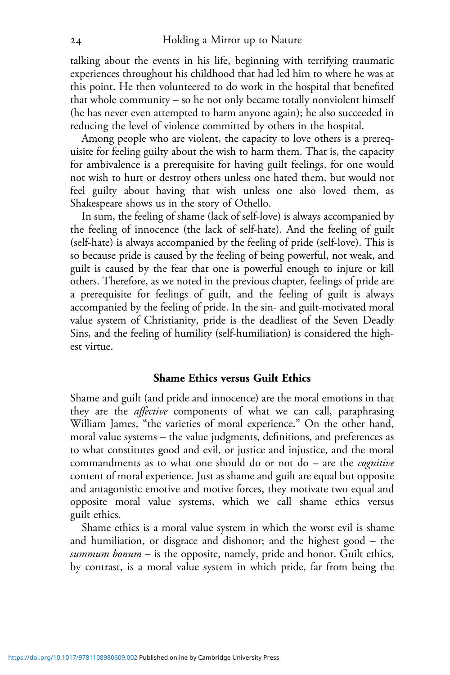talking about the events in his life, beginning with terrifying traumatic experiences throughout his childhood that had led him to where he was at this point. He then volunteered to do work in the hospital that benefited that whole community – so he not only became totally nonviolent himself (he has never even attempted to harm anyone again); he also succeeded in reducing the level of violence committed by others in the hospital.

Among people who are violent, the capacity to love others is a prerequisite for feeling guilty about the wish to harm them. That is, the capacity for ambivalence is a prerequisite for having guilt feelings, for one would not wish to hurt or destroy others unless one hated them, but would not feel guilty about having that wish unless one also loved them, as Shakespeare shows us in the story of Othello.

In sum, the feeling of shame (lack of self-love) is always accompanied by the feeling of innocence (the lack of self-hate). And the feeling of guilt (self-hate) is always accompanied by the feeling of pride (self-love). This is so because pride is caused by the feeling of being powerful, not weak, and guilt is caused by the fear that one is powerful enough to injure or kill others. Therefore, as we noted in the previous chapter, feelings of pride are a prerequisite for feelings of guilt, and the feeling of guilt is always accompanied by the feeling of pride. In the sin- and guilt-motivated moral value system of Christianity, pride is the deadliest of the Seven Deadly Sins, and the feeling of humility (self-humiliation) is considered the highest virtue.

### **Shame Ethics versus Guilt Ethics**

Shame and guilt (and pride and innocence) are the moral emotions in that they are the *affective* components of what we can call, paraphrasing William James, "the varieties of moral experience." On the other hand, moral value systems – the value judgments, definitions, and preferences as to what constitutes good and evil, or justice and injustice, and the moral commandments as to what one should do or not do – are the *cognitive* content of moral experience. Just as shame and guilt are equal but opposite and antagonistic emotive and motive forces, they motivate two equal and opposite moral value systems, which we call shame ethics versus guilt ethics.

Shame ethics is a moral value system in which the worst evil is shame and humiliation, or disgrace and dishonor; and the highest good – the *summum bonum* – is the opposite, namely, pride and honor. Guilt ethics, by contrast, is a moral value system in which pride, far from being the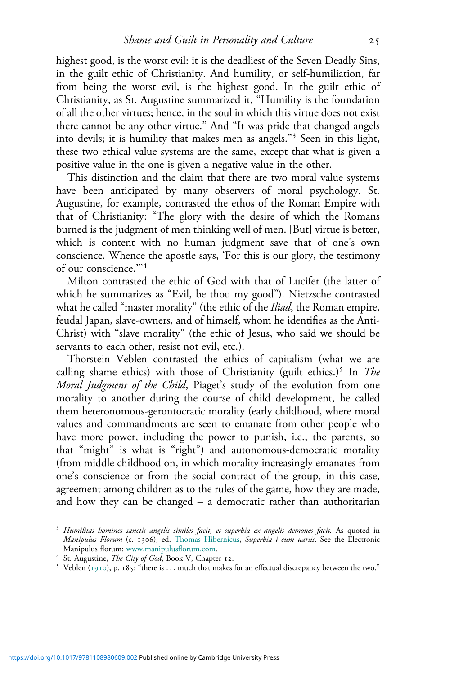highest good, is the worst evil: it is the deadliest of the Seven Deadly Sins, in the guilt ethic of Christianity. And humility, or self-humiliation, far from being the worst evil, is the highest good. In the guilt ethic of Christianity, as St. Augustine summarized it, "Humility is the foundation of all the other virtues; hence, in the soul in which this virtue does not exist there cannot be any other virtue." And "It was pride that changed angels into devils; it is humility that makes men as angels." Seen in this light, these two ethical value systems are the same, except that what is given a positive value in the one is given a negative value in the other.

This distinction and the claim that there are two moral value systems have been anticipated by many observers of moral psychology. St. Augustine, for example, contrasted the ethos of the Roman Empire with that of Christianity: "The glory with the desire of which the Romans burned is the judgment of men thinking well of men. [But] virtue is better, which is content with no human judgment save that of one's own conscience. Whence the apostle says, 'For this is our glory, the testimony of our conscience.'"

Milton contrasted the ethic of God with that of Lucifer (the latter of which he summarizes as "Evil, be thou my good"). Nietzsche contrasted what he called "master morality" (the ethic of the *Iliad*, the Roman empire, feudal Japan, slave-owners, and of himself, whom he identifies as the Anti-Christ) with "slave morality" (the ethic of Jesus, who said we should be servants to each other, resist not evil, etc.).

Thorstein Veblen contrasted the ethics of capitalism (what we are calling shame ethics) with those of Christianity (guilt ethics.)<sup>5</sup> In *The Moral Judgment of the Child*, Piaget's study of the evolution from one morality to another during the course of child development, he called them heteronomous-gerontocratic morality (early childhood, where moral values and commandments are seen to emanate from other people who have more power, including the power to punish, i.e., the parents, so that "might" is what is "right") and autonomous-democratic morality (from middle childhood on, in which morality increasingly emanates from one's conscience or from the social contract of the group, in this case, agreement among children as to the rules of the game, how they are made, and how they can be changed – a democratic rather than authoritarian

*Humilitas homines sanctis angelis similes facit, et superbia ex angelis demones facit.* As quoted in *Manipulus Florum* (c. 1306), ed. [Thomas Hibernicus,](http://en.wikipedia.org/wiki/Thomas_of_Ireland) *Superbia i cum uariis*. See the Electronic Manipulus florum: [www.manipulus](http://www.manipulusflorum.com)florum.com.<br><sup>4</sup> St. Augustine, *The City of God*, Book V, Chapter 12.<br><sup>5</sup> Veblen (1910), p. 185: "there is ... much that makes for an effectual discrepancy between the two."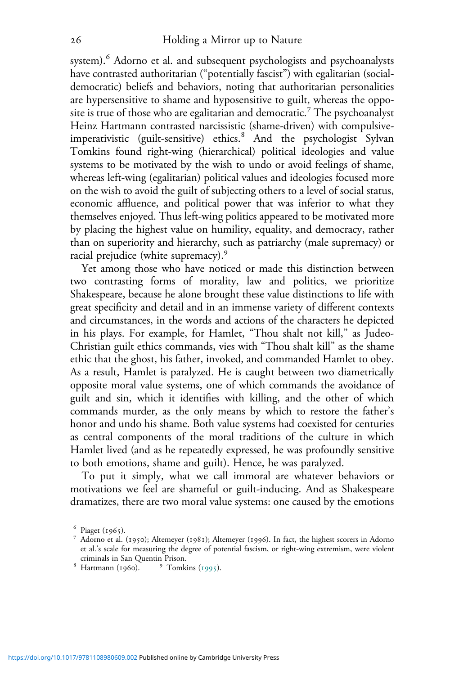system). Adorno et al. and subsequent psychologists and psychoanalysts have contrasted authoritarian ("potentially fascist") with egalitarian (socialdemocratic) beliefs and behaviors, noting that authoritarian personalities are hypersensitive to shame and hyposensitive to guilt, whereas the opposite is true of those who are egalitarian and democratic.<sup> $7$ </sup> The psychoanalyst Heinz Hartmann contrasted narcissistic (shame-driven) with compulsiveimperativistic (guilt-sensitive) ethics.<sup>8</sup> And the psychologist Sylvan Tomkins found right-wing (hierarchical) political ideologies and value systems to be motivated by the wish to undo or avoid feelings of shame, whereas left-wing (egalitarian) political values and ideologies focused more on the wish to avoid the guilt of subjecting others to a level of social status, economic affluence, and political power that was inferior to what they themselves enjoyed. Thus left-wing politics appeared to be motivated more by placing the highest value on humility, equality, and democracy, rather than on superiority and hierarchy, such as patriarchy (male supremacy) or racial prejudice (white supremacy).<sup>9</sup>

Yet among those who have noticed or made this distinction between two contrasting forms of morality, law and politics, we prioritize Shakespeare, because he alone brought these value distinctions to life with great specificity and detail and in an immense variety of different contexts and circumstances, in the words and actions of the characters he depicted in his plays. For example, for Hamlet, "Thou shalt not kill," as Judeo-Christian guilt ethics commands, vies with "Thou shalt kill" as the shame ethic that the ghost, his father, invoked, and commanded Hamlet to obey. As a result, Hamlet is paralyzed. He is caught between two diametrically opposite moral value systems, one of which commands the avoidance of guilt and sin, which it identifies with killing, and the other of which commands murder, as the only means by which to restore the father's honor and undo his shame. Both value systems had coexisted for centuries as central components of the moral traditions of the culture in which Hamlet lived (and as he repeatedly expressed, he was profoundly sensitive to both emotions, shame and guilt). Hence, he was paralyzed.

To put it simply, what we call immoral are whatever behaviors or motivations we feel are shameful or guilt-inducing. And as Shakespeare dramatizes, there are two moral value systems: one caused by the emotions

<sup>&</sup>lt;sup>6</sup> Piaget (1965).<br><sup>7</sup> Adorno et al. (1950); Altemeyer (1981); Altemeyer (1996). In fact, the highest scorers in Adorno et al.'s scale for measuring the degree of potential fascism, or right-wing extremism, were violent criminals in San Quentin Prison.<br> Hartmann (1960). <sup>9</sup> Tomkins (1995).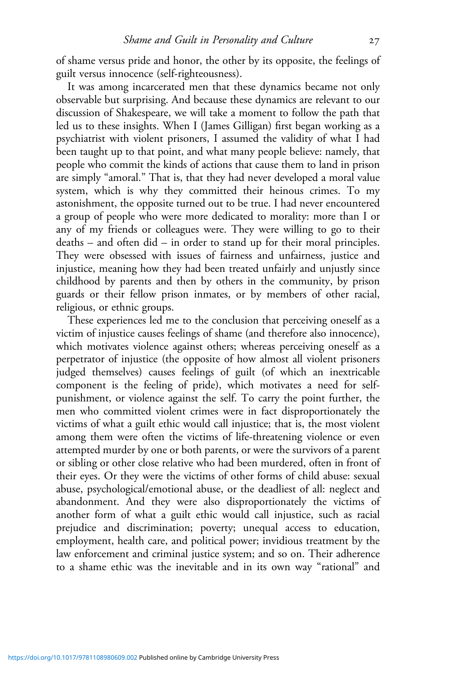of shame versus pride and honor, the other by its opposite, the feelings of guilt versus innocence (self-righteousness).

It was among incarcerated men that these dynamics became not only observable but surprising. And because these dynamics are relevant to our discussion of Shakespeare, we will take a moment to follow the path that led us to these insights. When I (James Gilligan) first began working as a psychiatrist with violent prisoners, I assumed the validity of what I had been taught up to that point, and what many people believe: namely, that people who commit the kinds of actions that cause them to land in prison are simply "amoral." That is, that they had never developed a moral value system, which is why they committed their heinous crimes. To my astonishment, the opposite turned out to be true. I had never encountered a group of people who were more dedicated to morality: more than I or any of my friends or colleagues were. They were willing to go to their deaths – and often did – in order to stand up for their moral principles. They were obsessed with issues of fairness and unfairness, justice and injustice, meaning how they had been treated unfairly and unjustly since childhood by parents and then by others in the community, by prison guards or their fellow prison inmates, or by members of other racial, religious, or ethnic groups.

These experiences led me to the conclusion that perceiving oneself as a victim of injustice causes feelings of shame (and therefore also innocence), which motivates violence against others; whereas perceiving oneself as a perpetrator of injustice (the opposite of how almost all violent prisoners judged themselves) causes feelings of guilt (of which an inextricable component is the feeling of pride), which motivates a need for selfpunishment, or violence against the self. To carry the point further, the men who committed violent crimes were in fact disproportionately the victims of what a guilt ethic would call injustice; that is, the most violent among them were often the victims of life-threatening violence or even attempted murder by one or both parents, or were the survivors of a parent or sibling or other close relative who had been murdered, often in front of their eyes. Or they were the victims of other forms of child abuse: sexual abuse, psychological/emotional abuse, or the deadliest of all: neglect and abandonment. And they were also disproportionately the victims of another form of what a guilt ethic would call injustice, such as racial prejudice and discrimination; poverty; unequal access to education, employment, health care, and political power; invidious treatment by the law enforcement and criminal justice system; and so on. Their adherence to a shame ethic was the inevitable and in its own way "rational" and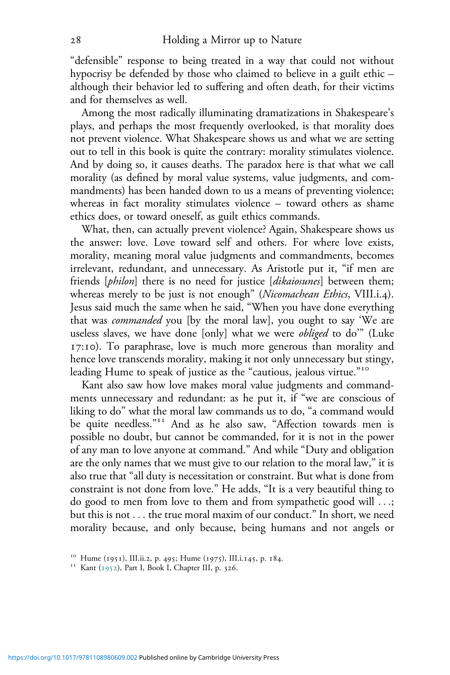"defensible" response to being treated in a way that could not without hypocrisy be defended by those who claimed to believe in a guilt ethic – although their behavior led to suffering and often death, for their victims and for themselves as well.

Among the most radically illuminating dramatizations in Shakespeare's plays, and perhaps the most frequently overlooked, is that morality does not prevent violence. What Shakespeare shows us and what we are setting out to tell in this book is quite the contrary: morality stimulates violence. And by doing so, it causes deaths. The paradox here is that what we call morality (as defined by moral value systems, value judgments, and commandments) has been handed down to us a means of preventing violence; whereas in fact morality stimulates violence – toward others as shame ethics does, or toward oneself, as guilt ethics commands.

What, then, can actually prevent violence? Again, Shakespeare shows us the answer: love. Love toward self and others. For where love exists, morality, meaning moral value judgments and commandments, becomes irrelevant, redundant, and unnecessary. As Aristotle put it, "if men are friends [*philon*] there is no need for justice [*dikaiosunes*] between them; whereas merely to be just is not enough" (*Nicomachean Ethics*, VIII.i.4). Jesus said much the same when he said, "When you have done everything that was *commanded* you [by the moral law], you ought to say 'We are useless slaves, we have done [only] what we were *obliged* to do'" (Luke 17:10). To paraphrase, love is much more generous than morality and hence love transcends morality, making it not only unnecessary but stingy, leading Hume to speak of justice as the "cautious, jealous virtue."

Kant also saw how love makes moral value judgments and commandments unnecessary and redundant: as he put it, if "we are conscious of liking to do" what the moral law commands us to do, "a command would be quite needless." And as he also saw, "Affection towards men is possible no doubt, but cannot be commanded, for it is not in the power of any man to love anyone at command." And while "Duty and obligation are the only names that we must give to our relation to the moral law," it is also true that "all duty is necessitation or constraint. But what is done from constraint is not done from love." He adds, "It is a very beautiful thing to do good to men from love to them and from sympathetic good will ...; but this is not ... the true moral maxim of our conduct." In short, we need morality because, and only because, being humans and not angels or

<sup>&</sup>lt;sup>10</sup> Hume (1951), III.ii.2, p. 495; Hume (1975), III.i.145, p. 184.<br><sup>11</sup> Kant (1952), Part I, Book I, Chapter III, p. 326.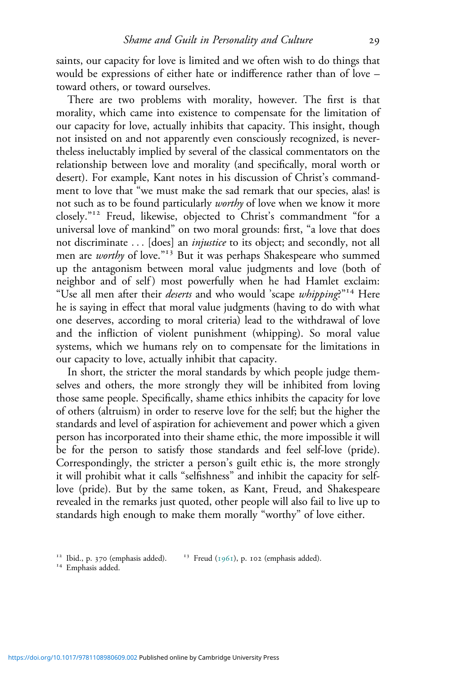saints, our capacity for love is limited and we often wish to do things that would be expressions of either hate or indifference rather than of love – toward others, or toward ourselves.

There are two problems with morality, however. The first is that morality, which came into existence to compensate for the limitation of our capacity for love, actually inhibits that capacity. This insight, though not insisted on and not apparently even consciously recognized, is nevertheless ineluctably implied by several of the classical commentators on the relationship between love and morality (and specifically, moral worth or desert). For example, Kant notes in his discussion of Christ's commandment to love that "we must make the sad remark that our species, alas! is not such as to be found particularly *worthy* of love when we know it more closely." Freud, likewise, objected to Christ's commandment "for a universal love of mankind" on two moral grounds: first, "a love that does not discriminate ... [does] an *injustice* to its object; and secondly, not all men are *worthy* of love."<sup>13</sup> But it was perhaps Shakespeare who summed up the antagonism between moral value judgments and love (both of neighbor and of self) most powerfully when he had Hamlet exclaim: "Use all men after their *deserts* and who would 'scape *whipping*?" Here he is saying in effect that moral value judgments (having to do with what one deserves, according to moral criteria) lead to the withdrawal of love and the infliction of violent punishment (whipping). So moral value systems, which we humans rely on to compensate for the limitations in our capacity to love, actually inhibit that capacity.

In short, the stricter the moral standards by which people judge themselves and others, the more strongly they will be inhibited from loving those same people. Specifically, shame ethics inhibits the capacity for love of others (altruism) in order to reserve love for the self; but the higher the standards and level of aspiration for achievement and power which a given person has incorporated into their shame ethic, the more impossible it will be for the person to satisfy those standards and feel self-love (pride). Correspondingly, the stricter a person's guilt ethic is, the more strongly it will prohibit what it calls "selfishness" and inhibit the capacity for selflove (pride). But by the same token, as Kant, Freud, and Shakespeare revealed in the remarks just quoted, other people will also fail to live up to standards high enough to make them morally "worthy" of love either.

<sup>&</sup>lt;sup>12</sup> Ibid., p. 370 (emphasis added). <sup>13</sup> Freud (1961), p. 102 (emphasis added). <sup>14</sup> Emphasis added.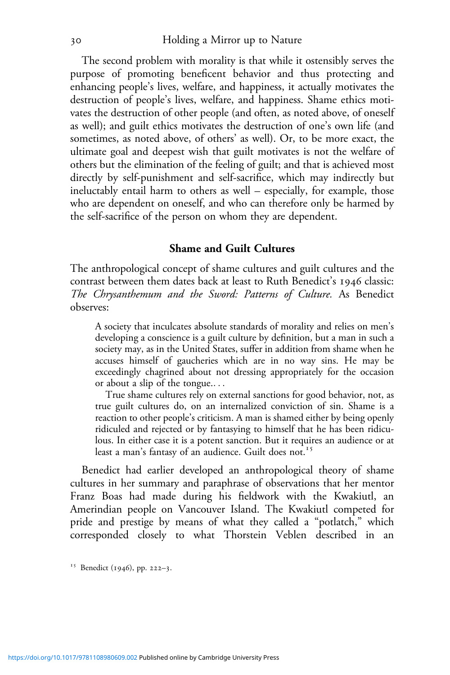The second problem with morality is that while it ostensibly serves the purpose of promoting beneficent behavior and thus protecting and enhancing people's lives, welfare, and happiness, it actually motivates the destruction of people's lives, welfare, and happiness. Shame ethics motivates the destruction of other people (and often, as noted above, of oneself as well); and guilt ethics motivates the destruction of one's own life (and sometimes, as noted above, of others' as well). Or, to be more exact, the ultimate goal and deepest wish that guilt motivates is not the welfare of others but the elimination of the feeling of guilt; and that is achieved most directly by self-punishment and self-sacrifice, which may indirectly but ineluctably entail harm to others as well – especially, for example, those who are dependent on oneself, and who can therefore only be harmed by the self-sacrifice of the person on whom they are dependent.

## **Shame and Guilt Cultures**

The anthropological concept of shame cultures and guilt cultures and the contrast between them dates back at least to Ruth Benedict's 1946 classic: *The Chrysanthemum and the Sword: Patterns of Culture.* As Benedict observes:

A society that inculcates absolute standards of morality and relies on men's developing a conscience is a guilt culture by definition, but a man in such a society may, as in the United States, suffer in addition from shame when he accuses himself of gaucheries which are in no way sins. He may be exceedingly chagrined about not dressing appropriately for the occasion or about a slip of the tongue....

True shame cultures rely on external sanctions for good behavior, not, as true guilt cultures do, on an internalized conviction of sin. Shame is a reaction to other people's criticism. A man is shamed either by being openly ridiculed and rejected or by fantasying to himself that he has been ridiculous. In either case it is a potent sanction. But it requires an audience or at least a man's fantasy of an audience. Guilt does not.

Benedict had earlier developed an anthropological theory of shame cultures in her summary and paraphrase of observations that her mentor Franz Boas had made during his fieldwork with the Kwakiutl, an Amerindian people on Vancouver Island. The Kwakiutl competed for pride and prestige by means of what they called a "potlatch," which corresponded closely to what Thorstein Veblen described in an

<sup>15</sup> Benedict (1946), pp. 222-3.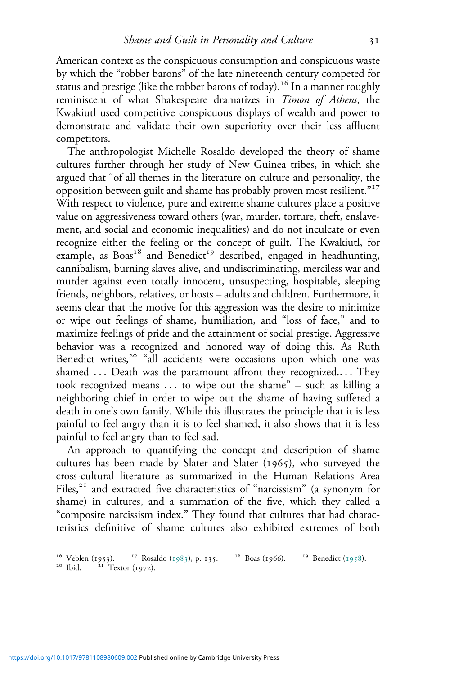American context as the conspicuous consumption and conspicuous waste by which the "robber barons" of the late nineteenth century competed for status and prestige (like the robber barons of today).<sup>16</sup> In a manner roughly reminiscent of what Shakespeare dramatizes in *Timon of Athens*, the Kwakiutl used competitive conspicuous displays of wealth and power to demonstrate and validate their own superiority over their less affluent competitors.

The anthropologist Michelle Rosaldo developed the theory of shame cultures further through her study of New Guinea tribes, in which she argued that "of all themes in the literature on culture and personality, the opposition between guilt and shame has probably proven most resilient."<sup>17</sup> With respect to violence, pure and extreme shame cultures place a positive value on aggressiveness toward others (war, murder, torture, theft, enslavement, and social and economic inequalities) and do not inculcate or even recognize either the feeling or the concept of guilt. The Kwakiutl, for example, as  $Boas<sup>18</sup>$  and Benedict<sup>19</sup> described, engaged in headhunting, cannibalism, burning slaves alive, and undiscriminating, merciless war and murder against even totally innocent, unsuspecting, hospitable, sleeping friends, neighbors, relatives, or hosts – adults and children. Furthermore, it seems clear that the motive for this aggression was the desire to minimize or wipe out feelings of shame, humiliation, and "loss of face," and to maximize feelings of pride and the attainment of social prestige. Aggressive behavior was a recognized and honored way of doing this. As Ruth Benedict writes,<sup>20</sup> "all accidents were occasions upon which one was shamed ... Death was the paramount affront they recognized.... They took recognized means ... to wipe out the shame" – such as killing a neighboring chief in order to wipe out the shame of having suffered a death in one's own family. While this illustrates the principle that it is less painful to feel angry than it is to feel shamed, it also shows that it is less painful to feel angry than to feel sad.

An approach to quantifying the concept and description of shame cultures has been made by Slater and Slater  $(1965)$ , who surveyed the cross-cultural literature as summarized in the Human Relations Area Files, $2I$  and extracted five characteristics of "narcissism" (a synonym for shame) in cultures, and a summation of the five, which they called a "composite narcissism index." They found that cultures that had characteristics definitive of shame cultures also exhibited extremes of both

<sup>&</sup>lt;sup>16</sup> Veblen (1953). <sup>17</sup> Rosaldo (1983), p. 135. <sup>18</sup> Boas (1966). <sup>19</sup> Benedict (1958). <sup>20</sup> Ibid. <sup>21</sup> Textor (1972).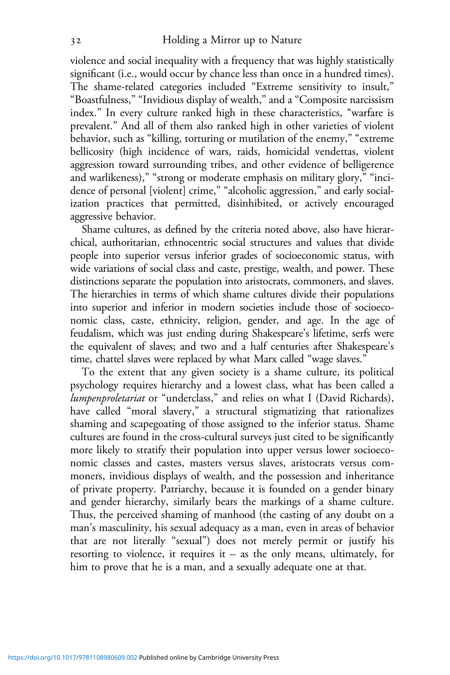violence and social inequality with a frequency that was highly statistically significant (i.e., would occur by chance less than once in a hundred times). The shame-related categories included "Extreme sensitivity to insult," "Boastfulness," "Invidious display of wealth," and a "Composite narcissism index." In every culture ranked high in these characteristics, "warfare is prevalent." And all of them also ranked high in other varieties of violent behavior, such as "killing, torturing or mutilation of the enemy," "extreme bellicosity (high incidence of wars, raids, homicidal vendettas, violent aggression toward surrounding tribes, and other evidence of belligerence and warlikeness)," "strong or moderate emphasis on military glory," "incidence of personal [violent] crime," "alcoholic aggression," and early socialization practices that permitted, disinhibited, or actively encouraged aggressive behavior.

Shame cultures, as defined by the criteria noted above, also have hierarchical, authoritarian, ethnocentric social structures and values that divide people into superior versus inferior grades of socioeconomic status, with wide variations of social class and caste, prestige, wealth, and power. These distinctions separate the population into aristocrats, commoners, and slaves. The hierarchies in terms of which shame cultures divide their populations into superior and inferior in modern societies include those of socioeconomic class, caste, ethnicity, religion, gender, and age. In the age of feudalism, which was just ending during Shakespeare's lifetime, serfs were the equivalent of slaves; and two and a half centuries after Shakespeare's time, chattel slaves were replaced by what Marx called "wage slaves."

To the extent that any given society is a shame culture, its political psychology requires hierarchy and a lowest class, what has been called a *lumpenproletariat* or "underclass," and relies on what I (David Richards), have called "moral slavery," a structural stigmatizing that rationalizes shaming and scapegoating of those assigned to the inferior status. Shame cultures are found in the cross-cultural surveys just cited to be significantly more likely to stratify their population into upper versus lower socioeconomic classes and castes, masters versus slaves, aristocrats versus commoners, invidious displays of wealth, and the possession and inheritance of private property. Patriarchy, because it is founded on a gender binary and gender hierarchy, similarly bears the markings of a shame culture. Thus, the perceived shaming of manhood (the casting of any doubt on a man's masculinity, his sexual adequacy as a man, even in areas of behavior that are not literally "sexual") does not merely permit or justify his resorting to violence, it requires it – as the only means, ultimately, for him to prove that he is a man, and a sexually adequate one at that.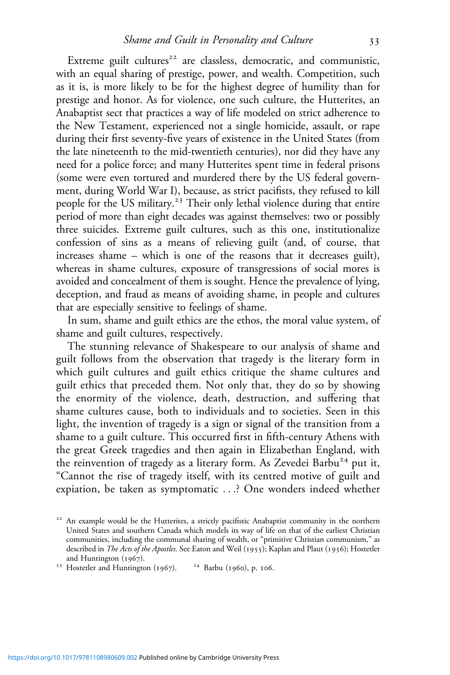Extreme guilt cultures<sup>22</sup> are classless, democratic, and communistic, with an equal sharing of prestige, power, and wealth. Competition, such as it is, is more likely to be for the highest degree of humility than for prestige and honor. As for violence, one such culture, the Hutterites, an Anabaptist sect that practices a way of life modeled on strict adherence to the New Testament, experienced not a single homicide, assault, or rape during their first seventy-five years of existence in the United States (from the late nineteenth to the mid-twentieth centuries), nor did they have any need for a police force; and many Hutterites spent time in federal prisons (some were even tortured and murdered there by the US federal government, during World War I), because, as strict pacifists, they refused to kill people for the US military.<sup>23</sup> Their only lethal violence during that entire period of more than eight decades was against themselves: two or possibly three suicides. Extreme guilt cultures, such as this one, institutionalize confession of sins as a means of relieving guilt (and, of course, that increases shame – which is one of the reasons that it decreases guilt), whereas in shame cultures, exposure of transgressions of social mores is avoided and concealment of them is sought. Hence the prevalence of lying, deception, and fraud as means of avoiding shame, in people and cultures that are especially sensitive to feelings of shame.

In sum, shame and guilt ethics are the ethos, the moral value system, of shame and guilt cultures, respectively.

The stunning relevance of Shakespeare to our analysis of shame and guilt follows from the observation that tragedy is the literary form in which guilt cultures and guilt ethics critique the shame cultures and guilt ethics that preceded them. Not only that, they do so by showing the enormity of the violence, death, destruction, and suffering that shame cultures cause, both to individuals and to societies. Seen in this light, the invention of tragedy is a sign or signal of the transition from a shame to a guilt culture. This occurred first in fifth-century Athens with the great Greek tragedies and then again in Elizabethan England, with the reinvention of tragedy as a literary form. As Zevedei Barbu<sup>24</sup> put it, "Cannot the rise of tragedy itself, with its centred motive of guilt and expiation, be taken as symptomatic ...? One wonders indeed whether

<sup>&</sup>lt;sup>22</sup> An example would be the Hutterites, a strictly pacifistic Anabaptist community in the northern United States and southern Canada which models its way of life on that of the earliest Christian communities, including the communal sharing of wealth, or "primitive Christian communism," as described in *The Acts of the Apostles*. See Eaton and Weil (1955); Kaplan and Plaut (1956); Hostetler and Huntington (1967).

<sup>&</sup>lt;sup>23</sup> Hostetler and Huntington (1967).  $24$  Barbu (1960), p. 106.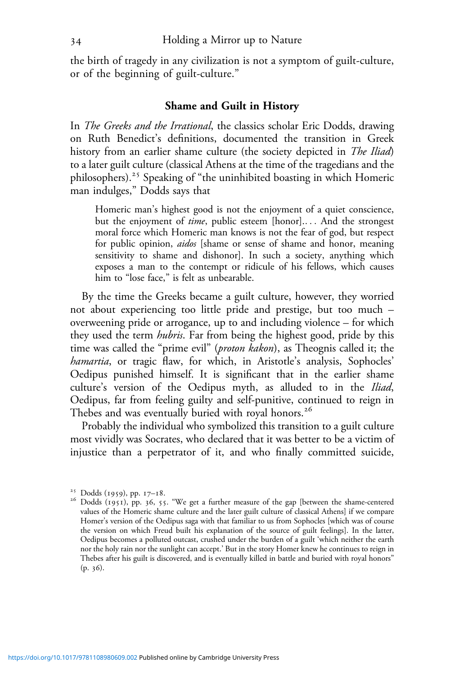the birth of tragedy in any civilization is not a symptom of guilt-culture, or of the beginning of guilt-culture."

### **Shame and Guilt in History**

In *The Greeks and the Irrational*, the classics scholar Eric Dodds, drawing on Ruth Benedict's definitions, documented the transition in Greek history from an earlier shame culture (the society depicted in *The Iliad*) to a later guilt culture (classical Athens at the time of the tragedians and the philosophers).<sup>25</sup> Speaking of "the uninhibited boasting in which Homeric man indulges," Dodds says that

Homeric man's highest good is not the enjoyment of a quiet conscience, but the enjoyment of *time*, public esteem [honor].... And the strongest moral force which Homeric man knows is not the fear of god, but respect for public opinion, *aidos* [shame or sense of shame and honor, meaning sensitivity to shame and dishonor]. In such a society, anything which exposes a man to the contempt or ridicule of his fellows, which causes him to "lose face," is felt as unbearable.

By the time the Greeks became a guilt culture, however, they worried not about experiencing too little pride and prestige, but too much – overweening pride or arrogance, up to and including violence – for which they used the term *hubris*. Far from being the highest good, pride by this time was called the "prime evil" (*proton kakon*), as Theognis called it; the *hamartia*, or tragic flaw, for which, in Aristotle's analysis, Sophocles' Oedipus punished himself. It is significant that in the earlier shame culture's version of the Oedipus myth, as alluded to in the *Iliad*, Oedipus, far from feeling guilty and self-punitive, continued to reign in Thebes and was eventually buried with royal honors.<sup>26</sup>

Probably the individual who symbolized this transition to a guilt culture most vividly was Socrates, who declared that it was better to be a victim of injustice than a perpetrator of it, and who finally committed suicide,

<sup>&</sup>lt;sup>25</sup> Dodds (1959), pp. 17–18.<br><sup>26</sup> Dodds (1951), pp. 36, 55. "We get a further measure of the gap [between the shame-centered values of the Homeric shame culture and the later guilt culture of classical Athens] if we compare Homer's version of the Oedipus saga with that familiar to us from Sophocles [which was of course the version on which Freud built his explanation of the source of guilt feelings]. In the latter, Oedipus becomes a polluted outcast, crushed under the burden of a guilt 'which neither the earth nor the holy rain nor the sunlight can accept.' But in the story Homer knew he continues to reign in Thebes after his guilt is discovered, and is eventually killed in battle and buried with royal honors"  $(p. 36).$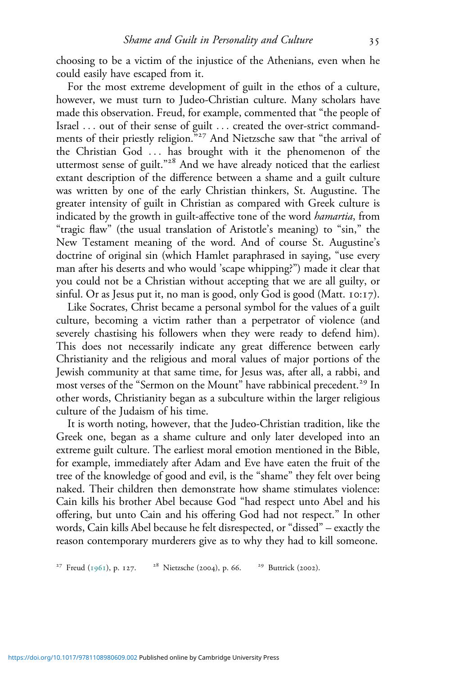choosing to be a victim of the injustice of the Athenians, even when he could easily have escaped from it.

For the most extreme development of guilt in the ethos of a culture, however, we must turn to Judeo-Christian culture. Many scholars have made this observation. Freud, for example, commented that "the people of Israel ... out of their sense of guilt ... created the over-strict commandments of their priestly religion."<sup>27</sup> And Nietzsche saw that "the arrival of the Christian God ... has brought with it the phenomenon of the uttermost sense of guilt."<sup>28</sup> And we have already noticed that the earliest extant description of the difference between a shame and a guilt culture was written by one of the early Christian thinkers, St. Augustine. The greater intensity of guilt in Christian as compared with Greek culture is indicated by the growth in guilt-affective tone of the word *hamartia*, from "tragic flaw" (the usual translation of Aristotle's meaning) to "sin," the New Testament meaning of the word. And of course St. Augustine's doctrine of original sin (which Hamlet paraphrased in saying, "use every man after his deserts and who would 'scape whipping?") made it clear that you could not be a Christian without accepting that we are all guilty, or sinful. Or as Jesus put it, no man is good, only God is good (Matt.  $10:17$ ).

Like Socrates, Christ became a personal symbol for the values of a guilt culture, becoming a victim rather than a perpetrator of violence (and severely chastising his followers when they were ready to defend him). This does not necessarily indicate any great difference between early Christianity and the religious and moral values of major portions of the Jewish community at that same time, for Jesus was, after all, a rabbi, and most verses of the "Sermon on the Mount" have rabbinical precedent.<sup>29</sup> In other words, Christianity began as a subculture within the larger religious culture of the Judaism of his time.

It is worth noting, however, that the Judeo-Christian tradition, like the Greek one, began as a shame culture and only later developed into an extreme guilt culture. The earliest moral emotion mentioned in the Bible, for example, immediately after Adam and Eve have eaten the fruit of the tree of the knowledge of good and evil, is the "shame" they felt over being naked. Their children then demonstrate how shame stimulates violence: Cain kills his brother Abel because God "had respect unto Abel and his offering, but unto Cain and his offering God had not respect." In other words, Cain kills Abel because he felt disrespected, or "dissed" – exactly the reason contemporary murderers give as to why they had to kill someone.

<sup>27</sup> Freud (1961), p. 127. <sup>28</sup> Nietzsche (2004), p. 66. <sup>29</sup> Buttrick (2002).

<https://doi.org/10.1017/9781108980609.002>Published online by Cambridge University Press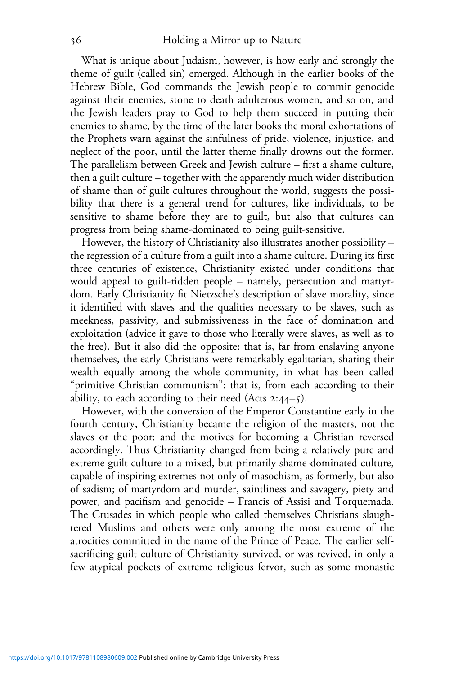What is unique about Judaism, however, is how early and strongly the theme of guilt (called sin) emerged. Although in the earlier books of the Hebrew Bible, God commands the Jewish people to commit genocide against their enemies, stone to death adulterous women, and so on, and the Jewish leaders pray to God to help them succeed in putting their enemies to shame, by the time of the later books the moral exhortations of the Prophets warn against the sinfulness of pride, violence, injustice, and neglect of the poor, until the latter theme finally drowns out the former. The parallelism between Greek and Jewish culture – first a shame culture, then a guilt culture – together with the apparently much wider distribution of shame than of guilt cultures throughout the world, suggests the possibility that there is a general trend for cultures, like individuals, to be sensitive to shame before they are to guilt, but also that cultures can progress from being shame-dominated to being guilt-sensitive.

However, the history of Christianity also illustrates another possibility – the regression of a culture from a guilt into a shame culture. During its first three centuries of existence, Christianity existed under conditions that would appeal to guilt-ridden people – namely, persecution and martyrdom. Early Christianity fit Nietzsche's description of slave morality, since it identified with slaves and the qualities necessary to be slaves, such as meekness, passivity, and submissiveness in the face of domination and exploitation (advice it gave to those who literally were slaves, as well as to the free). But it also did the opposite: that is, far from enslaving anyone themselves, the early Christians were remarkably egalitarian, sharing their wealth equally among the whole community, in what has been called "primitive Christian communism": that is, from each according to their ability, to each according to their need (Acts  $2:44-5$ ).

However, with the conversion of the Emperor Constantine early in the fourth century, Christianity became the religion of the masters, not the slaves or the poor; and the motives for becoming a Christian reversed accordingly. Thus Christianity changed from being a relatively pure and extreme guilt culture to a mixed, but primarily shame-dominated culture, capable of inspiring extremes not only of masochism, as formerly, but also of sadism; of martyrdom and murder, saintliness and savagery, piety and power, and pacifism and genocide – Francis of Assisi and Torquemada. The Crusades in which people who called themselves Christians slaughtered Muslims and others were only among the most extreme of the atrocities committed in the name of the Prince of Peace. The earlier selfsacrificing guilt culture of Christianity survived, or was revived, in only a few atypical pockets of extreme religious fervor, such as some monastic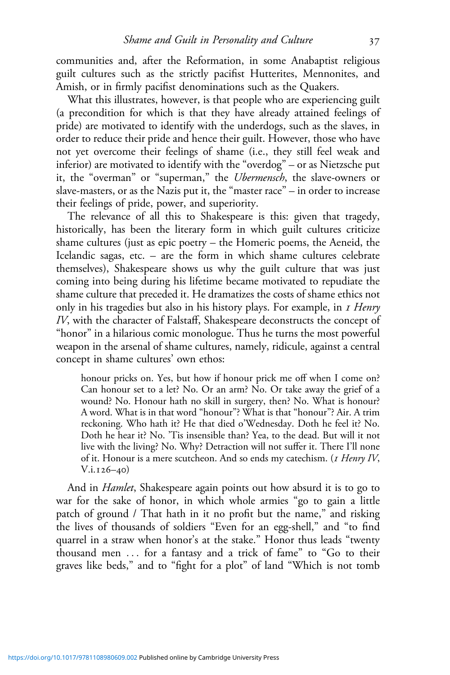communities and, after the Reformation, in some Anabaptist religious guilt cultures such as the strictly pacifist Hutterites, Mennonites, and Amish, or in firmly pacifist denominations such as the Quakers.

What this illustrates, however, is that people who are experiencing guilt (a precondition for which is that they have already attained feelings of pride) are motivated to identify with the underdogs, such as the slaves, in order to reduce their pride and hence their guilt. However, those who have not yet overcome their feelings of shame (i.e., they still feel weak and inferior) are motivated to identify with the "overdog" – or as Nietzsche put it, the "overman" or "superman," the *Ubermensch*, the slave-owners or slave-masters, or as the Nazis put it, the "master race" – in order to increase their feelings of pride, power, and superiority.

The relevance of all this to Shakespeare is this: given that tragedy, historically, has been the literary form in which guilt cultures criticize shame cultures (just as epic poetry – the Homeric poems, the Aeneid, the Icelandic sagas, etc. – are the form in which shame cultures celebrate themselves), Shakespeare shows us why the guilt culture that was just coming into being during his lifetime became motivated to repudiate the shame culture that preceded it. He dramatizes the costs of shame ethics not only in his tragedies but also in his history plays. For example, in *Henry IV*, with the character of Falstaff, Shakespeare deconstructs the concept of "honor" in a hilarious comic monologue. Thus he turns the most powerful weapon in the arsenal of shame cultures, namely, ridicule, against a central concept in shame cultures' own ethos:

honour pricks on. Yes, but how if honour prick me off when I come on? Can honour set to a let? No. Or an arm? No. Or take away the grief of a wound? No. Honour hath no skill in surgery, then? No. What is honour? A word. What is in that word "honour"? What is that "honour"? Air. A trim reckoning. Who hath it? He that died o'Wednesday. Doth he feel it? No. Doth he hear it? No. 'Tis insensible than? Yea, to the dead. But will it not live with the living? No. Why? Detraction will not suffer it. There I'll none of it. Honour is a mere scutcheon. And so ends my catechism. (*I Henry IV*,  $V.i.126-40)$ 

And in *Hamlet*, Shakespeare again points out how absurd it is to go to war for the sake of honor, in which whole armies "go to gain a little patch of ground / That hath in it no profit but the name," and risking the lives of thousands of soldiers "Even for an egg-shell," and "to find quarrel in a straw when honor's at the stake." Honor thus leads "twenty thousand men ... for a fantasy and a trick of fame" to "Go to their graves like beds," and to "fight for a plot" of land "Which is not tomb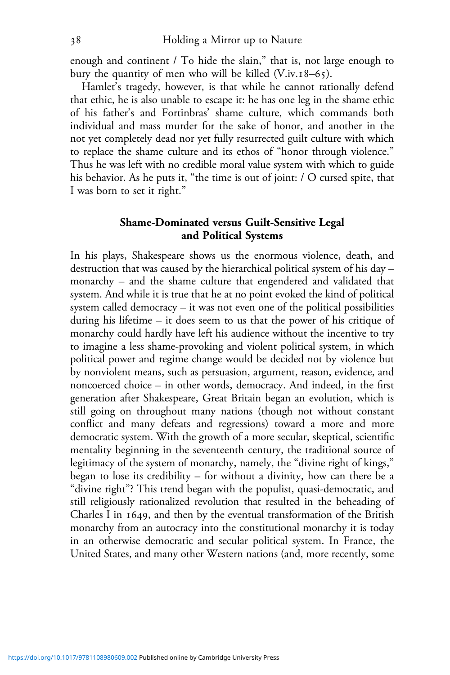enough and continent / To hide the slain," that is, not large enough to bury the quantity of men who will be killed  $(V_{\cdot}iv.18-65)$ .

Hamlet's tragedy, however, is that while he cannot rationally defend that ethic, he is also unable to escape it: he has one leg in the shame ethic of his father's and Fortinbras' shame culture, which commands both individual and mass murder for the sake of honor, and another in the not yet completely dead nor yet fully resurrected guilt culture with which to replace the shame culture and its ethos of "honor through violence." Thus he was left with no credible moral value system with which to guide his behavior. As he puts it, "the time is out of joint: / O cursed spite, that I was born to set it right."

## **Shame-Dominated versus Guilt-Sensitive Legal and Political Systems**

In his plays, Shakespeare shows us the enormous violence, death, and destruction that was caused by the hierarchical political system of his day – monarchy – and the shame culture that engendered and validated that system. And while it is true that he at no point evoked the kind of political system called democracy – it was not even one of the political possibilities during his lifetime – it does seem to us that the power of his critique of monarchy could hardly have left his audience without the incentive to try to imagine a less shame-provoking and violent political system, in which political power and regime change would be decided not by violence but by nonviolent means, such as persuasion, argument, reason, evidence, and noncoerced choice – in other words, democracy. And indeed, in the first generation after Shakespeare, Great Britain began an evolution, which is still going on throughout many nations (though not without constant conflict and many defeats and regressions) toward a more and more democratic system. With the growth of a more secular, skeptical, scientific mentality beginning in the seventeenth century, the traditional source of legitimacy of the system of monarchy, namely, the "divine right of kings," began to lose its credibility – for without a divinity, how can there be a "divine right"? This trend began with the populist, quasi-democratic, and still religiously rationalized revolution that resulted in the beheading of Charles I in  $1649$ , and then by the eventual transformation of the British monarchy from an autocracy into the constitutional monarchy it is today in an otherwise democratic and secular political system. In France, the United States, and many other Western nations (and, more recently, some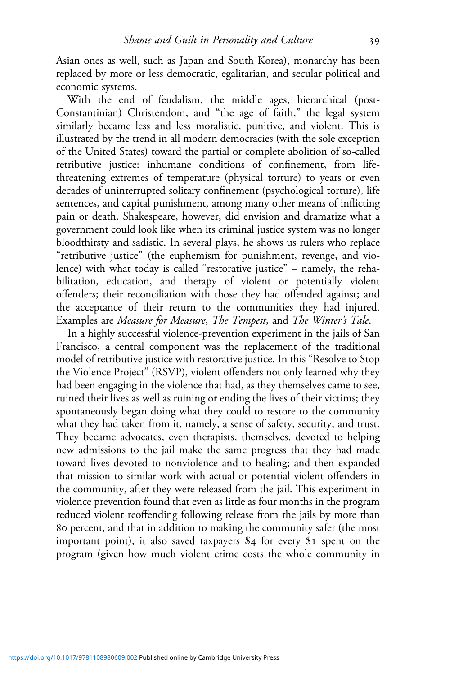Asian ones as well, such as Japan and South Korea), monarchy has been replaced by more or less democratic, egalitarian, and secular political and economic systems.

With the end of feudalism, the middle ages, hierarchical (post-Constantinian) Christendom, and "the age of faith," the legal system similarly became less and less moralistic, punitive, and violent. This is illustrated by the trend in all modern democracies (with the sole exception of the United States) toward the partial or complete abolition of so-called retributive justice: inhumane conditions of confinement, from lifethreatening extremes of temperature (physical torture) to years or even decades of uninterrupted solitary confinement (psychological torture), life sentences, and capital punishment, among many other means of inflicting pain or death. Shakespeare, however, did envision and dramatize what a government could look like when its criminal justice system was no longer bloodthirsty and sadistic. In several plays, he shows us rulers who replace "retributive justice" (the euphemism for punishment, revenge, and violence) with what today is called "restorative justice" – namely, the rehabilitation, education, and therapy of violent or potentially violent offenders; their reconciliation with those they had offended against; and the acceptance of their return to the communities they had injured. Examples are *Measure for Measure*, *The Tempest*, and *The Winter's Tale*.

In a highly successful violence-prevention experiment in the jails of San Francisco, a central component was the replacement of the traditional model of retributive justice with restorative justice. In this "Resolve to Stop the Violence Project" (RSVP), violent offenders not only learned why they had been engaging in the violence that had, as they themselves came to see, ruined their lives as well as ruining or ending the lives of their victims; they spontaneously began doing what they could to restore to the community what they had taken from it, namely, a sense of safety, security, and trust. They became advocates, even therapists, themselves, devoted to helping new admissions to the jail make the same progress that they had made toward lives devoted to nonviolence and to healing; and then expanded that mission to similar work with actual or potential violent offenders in the community, after they were released from the jail. This experiment in violence prevention found that even as little as four months in the program reduced violent reoffending following release from the jails by more than percent, and that in addition to making the community safer (the most important point), it also saved taxpayers  $$4$  for every  $$1$  spent on the program (given how much violent crime costs the whole community in